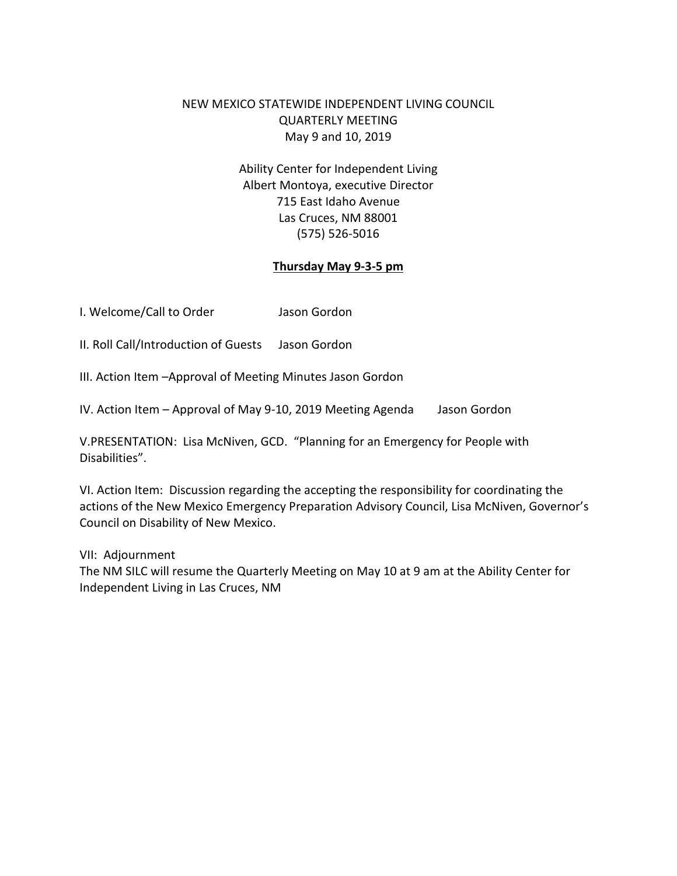# NEW MEXICO STATEWIDE INDEPENDENT LIVING COUNCIL QUARTERLY MEETING May 9 and 10, 2019

Ability Center for Independent Living Albert Montoya, executive Director 715 East Idaho Avenue Las Cruces, NM 88001 (575) 526-5016

#### **Thursday May 9-3-5 pm**

I. Welcome/Call to Order Jason Gordon

II. Roll Call/Introduction of Guests Jason Gordon

III. Action Item –Approval of Meeting Minutes Jason Gordon

IV. Action Item – Approval of May 9-10, 2019 Meeting Agenda Jason Gordon

V.PRESENTATION: Lisa McNiven, GCD. "Planning for an Emergency for People with Disabilities".

VI. Action Item: Discussion regarding the accepting the responsibility for coordinating the actions of the New Mexico Emergency Preparation Advisory Council, Lisa McNiven, Governor's Council on Disability of New Mexico.

VII: Adjournment

The NM SILC will resume the Quarterly Meeting on May 10 at 9 am at the Ability Center for Independent Living in Las Cruces, NM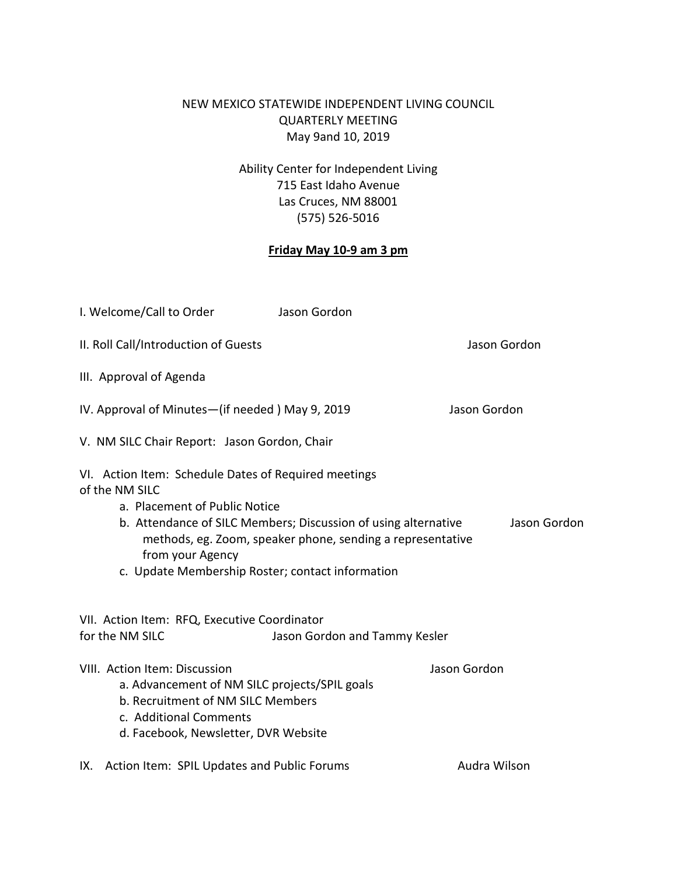# NEW MEXICO STATEWIDE INDEPENDENT LIVING COUNCIL QUARTERLY MEETING May 9and 10, 2019

Ability Center for Independent Living 715 East Idaho Avenue Las Cruces, NM 88001 (575) 526-5016

### **Friday May 10-9 am 3 pm**

| I. Welcome/Call to Order                                                                                                                                                                                                                                                                                                        | Jason Gordon                  |              |
|---------------------------------------------------------------------------------------------------------------------------------------------------------------------------------------------------------------------------------------------------------------------------------------------------------------------------------|-------------------------------|--------------|
| II. Roll Call/Introduction of Guests                                                                                                                                                                                                                                                                                            |                               | Jason Gordon |
| III. Approval of Agenda                                                                                                                                                                                                                                                                                                         |                               |              |
| IV. Approval of Minutes-(if needed) May 9, 2019                                                                                                                                                                                                                                                                                 |                               | Jason Gordon |
| V. NM SILC Chair Report: Jason Gordon, Chair                                                                                                                                                                                                                                                                                    |                               |              |
| VI. Action Item: Schedule Dates of Required meetings<br>of the NM SILC<br>a. Placement of Public Notice<br>b. Attendance of SILC Members; Discussion of using alternative<br>Jason Gordon<br>methods, eg. Zoom, speaker phone, sending a representative<br>from your Agency<br>c. Update Membership Roster; contact information |                               |              |
| VII. Action Item: RFQ, Executive Coordinator<br>for the NM SILC                                                                                                                                                                                                                                                                 | Jason Gordon and Tammy Kesler |              |
| VIII. Action Item: Discussion<br>a. Advancement of NM SILC projects/SPIL goals<br>b. Recruitment of NM SILC Members<br>c. Additional Comments<br>d. Facebook, Newsletter, DVR Website                                                                                                                                           |                               | Jason Gordon |
| Action Item: SPIL Updates and Public Forums<br>IX.                                                                                                                                                                                                                                                                              |                               | Audra Wilson |